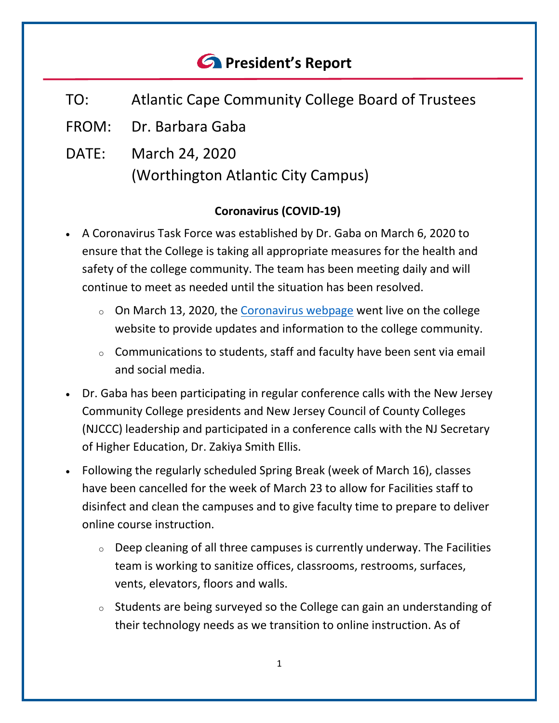# *<u>C* President's Report</u>

- TO: Atlantic Cape Community College Board of Trustees
- FROM: Dr. Barbara Gaba
- DATE: March 24, 2020 (Worthington Atlantic City Campus)

## **Coronavirus (COVID-19)**

- A Coronavirus Task Force was established by Dr. Gaba on March 6, 2020 to ensure that the College is taking all appropriate measures for the health and safety of the college community. The team has been meeting daily and will continue to meet as needed until the situation has been resolved.
	- $\circ$  On March 13, 2020, the [Coronavirus webpage](http://www.atlantic.edu/about/covid/index.php) went live on the college website to provide updates and information to the college community.
	- $\circ$  Communications to students, staff and faculty have been sent via email and social media.
- Dr. Gaba has been participating in regular conference calls with the New Jersey Community College presidents and New Jersey Council of County Colleges (NJCCC) leadership and participated in a conference calls with the NJ Secretary of Higher Education, Dr. Zakiya Smith Ellis.
- Following the regularly scheduled Spring Break (week of March 16), classes have been cancelled for the week of March 23 to allow for Facilities staff to disinfect and clean the campuses and to give faculty time to prepare to deliver online course instruction.
	- $\circ$  Deep cleaning of all three campuses is currently underway. The Facilities team is working to sanitize offices, classrooms, restrooms, surfaces, vents, elevators, floors and walls.
	- $\circ$  Students are being surveyed so the College can gain an understanding of their technology needs as we transition to online instruction. As of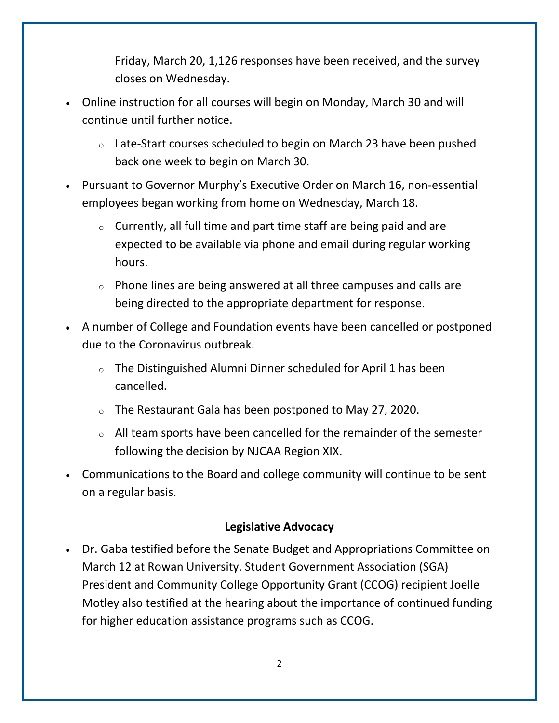Friday, March 20, 1,126 responses have been received, and the survey closes on Wednesday.

- Online instruction for all courses will begin on Monday, March 30 and will continue until further notice.
	- $\circ$  Late-Start courses scheduled to begin on March 23 have been pushed back one week to begin on March 30.
- Pursuant to Governor Murphy's Executive Order on March 16, non-essential employees began working from home on Wednesday, March 18.
	- $\circ$  Currently, all full time and part time staff are being paid and are expected to be available via phone and email during regular working hours.
	- $\circ$  Phone lines are being answered at all three campuses and calls are being directed to the appropriate department for response.
- A number of College and Foundation events have been cancelled or postponed due to the Coronavirus outbreak.
	- $\circ$  The Distinguished Alumni Dinner scheduled for April 1 has been cancelled.
	- $\circ$  The Restaurant Gala has been postponed to May 27, 2020.
	- <sup>o</sup> All team sports have been cancelled for the remainder of the semester following the decision by NJCAA Region XIX.
- Communications to the Board and college community will continue to be sent on a regular basis.

### **Legislative Advocacy**

• Dr. Gaba testified before the Senate Budget and Appropriations Committee on March 12 at Rowan University. Student Government Association (SGA) President and Community College Opportunity Grant (CCOG) recipient Joelle Motley also testified at the hearing about the importance of continued funding for higher education assistance programs such as CCOG.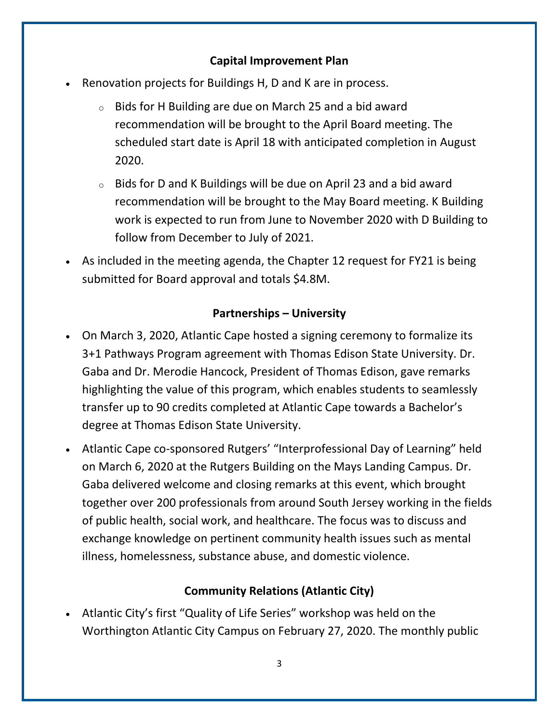### **Capital Improvement Plan**

- Renovation projects for Buildings H, D and K are in process.
	- $\circ$  Bids for H Building are due on March 25 and a bid award recommendation will be brought to the April Board meeting. The scheduled start date is April 18 with anticipated completion in August 2020.
	- $\circ$  Bids for D and K Buildings will be due on April 23 and a bid award recommendation will be brought to the May Board meeting. K Building work is expected to run from June to November 2020 with D Building to follow from December to July of 2021.
- As included in the meeting agenda, the Chapter 12 request for FY21 is being submitted for Board approval and totals \$4.8M.

### **Partnerships – University**

- On March 3, 2020, Atlantic Cape hosted a signing ceremony to formalize its 3+1 Pathways Program agreement with Thomas Edison State University. Dr. Gaba and Dr. Merodie Hancock, President of Thomas Edison, gave remarks highlighting the value of this program, which enables students to seamlessly transfer up to 90 credits completed at Atlantic Cape towards a Bachelor's degree at Thomas Edison State University.
- Atlantic Cape co-sponsored Rutgers' "Interprofessional Day of Learning" held on March 6, 2020 at the Rutgers Building on the Mays Landing Campus. Dr. Gaba delivered welcome and closing remarks at this event, which brought together over 200 professionals from around South Jersey working in the fields of public health, social work, and healthcare. The focus was to discuss and exchange knowledge on pertinent community health issues such as mental illness, homelessness, substance abuse, and domestic violence.

### **Community Relations (Atlantic City)**

• Atlantic City's first "Quality of Life Series" workshop was held on the Worthington Atlantic City Campus on February 27, 2020. The monthly public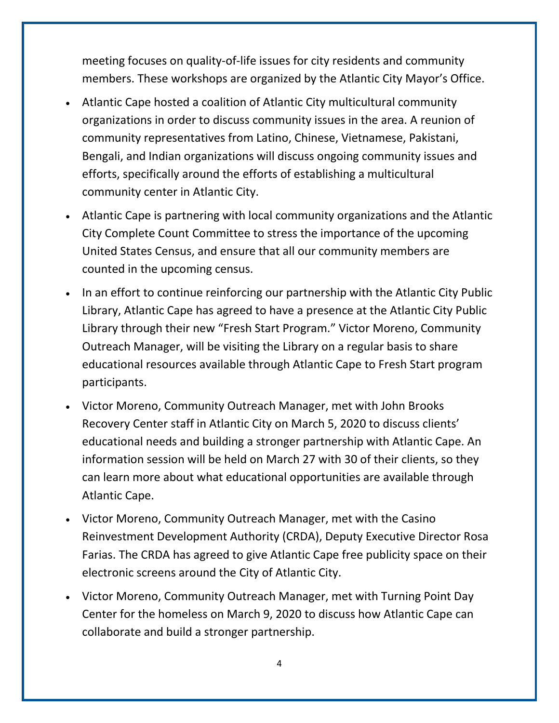meeting focuses on quality-of-life issues for city residents and community members. These workshops are organized by the Atlantic City Mayor's Office.

- Atlantic Cape hosted a coalition of Atlantic City multicultural community organizations in order to discuss community issues in the area. A reunion of community representatives from Latino, Chinese, Vietnamese, Pakistani, Bengali, and Indian organizations will discuss ongoing community issues and efforts, specifically around the efforts of establishing a multicultural community center in Atlantic City.
- Atlantic Cape is partnering with local community organizations and the Atlantic City Complete Count Committee to stress the importance of the upcoming United States Census, and ensure that all our community members are counted in the upcoming census.
- In an effort to continue reinforcing our partnership with the Atlantic City Public Library, Atlantic Cape has agreed to have a presence at the Atlantic City Public Library through their new "Fresh Start Program." Victor Moreno, Community Outreach Manager, will be visiting the Library on a regular basis to share educational resources available through Atlantic Cape to Fresh Start program participants.
- Victor Moreno, Community Outreach Manager, met with John Brooks Recovery Center staff in Atlantic City on March 5, 2020 to discuss clients' educational needs and building a stronger partnership with Atlantic Cape. An information session will be held on March 27 with 30 of their clients, so they can learn more about what educational opportunities are available through Atlantic Cape.
- Victor Moreno, Community Outreach Manager, met with the Casino Reinvestment Development Authority (CRDA), Deputy Executive Director Rosa Farias. The CRDA has agreed to give Atlantic Cape free publicity space on their electronic screens around the City of Atlantic City.
- Victor Moreno, Community Outreach Manager, met with Turning Point Day Center for the homeless on March 9, 2020 to discuss how Atlantic Cape can collaborate and build a stronger partnership.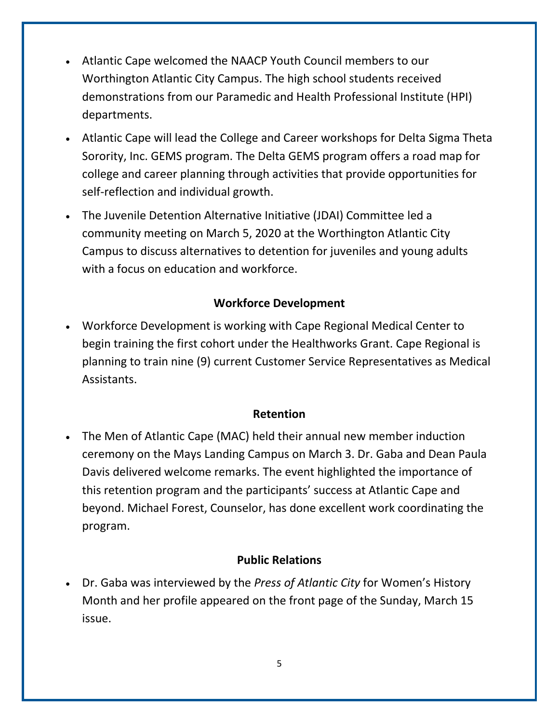- Atlantic Cape welcomed the NAACP Youth Council members to our Worthington Atlantic City Campus. The high school students received demonstrations from our Paramedic and Health Professional Institute (HPI) departments.
- Atlantic Cape will lead the College and Career workshops for Delta Sigma Theta Sorority, Inc. GEMS program. The Delta GEMS program offers a road map for college and career planning through activities that provide opportunities for self-reflection and individual growth.
- The Juvenile Detention Alternative Initiative (JDAI) Committee led a community meeting on March 5, 2020 at the Worthington Atlantic City Campus to discuss alternatives to detention for juveniles and young adults with a focus on education and workforce.

## **Workforce Development**

• Workforce Development is working with Cape Regional Medical Center to begin training the first cohort under the Healthworks Grant. Cape Regional is planning to train nine (9) current Customer Service Representatives as Medical Assistants.

#### **Retention**

• The Men of Atlantic Cape (MAC) held their annual new member induction ceremony on the Mays Landing Campus on March 3. Dr. Gaba and Dean Paula Davis delivered welcome remarks. The event highlighted the importance of this retention program and the participants' success at Atlantic Cape and beyond. Michael Forest, Counselor, has done excellent work coordinating the program.

### **Public Relations**

• Dr. Gaba was interviewed by the *Press of Atlantic City* for Women's History Month and her profile appeared on the front page of the Sunday, March 15 issue.